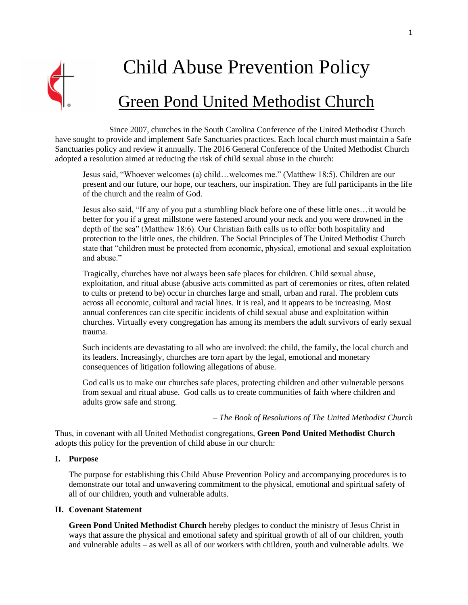

# Child Abuse Prevention Policy

# Green Pond United Methodist Church

Since 2007, churches in the South Carolina Conference of the United Methodist Church have sought to provide and implement Safe Sanctuaries practices. Each local church must maintain a Safe Sanctuaries policy and review it annually. The 2016 General Conference of the United Methodist Church adopted a resolution aimed at reducing the risk of child sexual abuse in the church:

Jesus said, "Whoever welcomes (a) child…welcomes me." (Matthew 18:5). Children are our present and our future, our hope, our teachers, our inspiration. They are full participants in the life of the church and the realm of God.

Jesus also said, "If any of you put a stumbling block before one of these little ones…it would be better for you if a great millstone were fastened around your neck and you were drowned in the depth of the sea" (Matthew 18:6). Our Christian faith calls us to offer both hospitality and protection to the little ones, the children. The Social Principles of The United Methodist Church state that "children must be protected from economic, physical, emotional and sexual exploitation and abuse."

Tragically, churches have not always been safe places for children. Child sexual abuse, exploitation, and ritual abuse (abusive acts committed as part of ceremonies or rites, often related to cults or pretend to be) occur in churches large and small, urban and rural. The problem cuts across all economic, cultural and racial lines. It is real, and it appears to be increasing. Most annual conferences can cite specific incidents of child sexual abuse and exploitation within churches. Virtually every congregation has among its members the adult survivors of early sexual trauma.

Such incidents are devastating to all who are involved: the child, the family, the local church and its leaders. Increasingly, churches are torn apart by the legal, emotional and monetary consequences of litigation following allegations of abuse.

God calls us to make our churches safe places, protecting children and other vulnerable persons from sexual and ritual abuse. God calls us to create communities of faith where children and adults grow safe and strong.

*– The Book of Resolutions of The United Methodist Church*

Thus, in covenant with all United Methodist congregations, **Green Pond United Methodist Church** adopts this policy for the prevention of child abuse in our church:

#### **I. Purpose**

The purpose for establishing this Child Abuse Prevention Policy and accompanying procedures is to demonstrate our total and unwavering commitment to the physical, emotional and spiritual safety of all of our children, youth and vulnerable adults.

# **II. Covenant Statement**

**Green Pond United Methodist Church** hereby pledges to conduct the ministry of Jesus Christ in ways that assure the physical and emotional safety and spiritual growth of all of our children, youth and vulnerable adults – as well as all of our workers with children, youth and vulnerable adults. We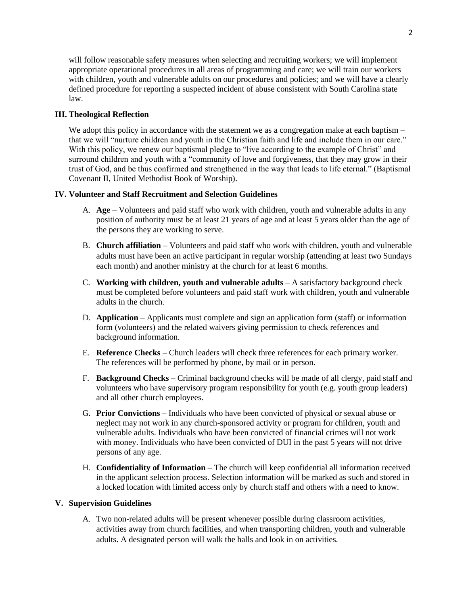will follow reasonable safety measures when selecting and recruiting workers; we will implement appropriate operational procedures in all areas of programming and care; we will train our workers with children, youth and vulnerable adults on our procedures and policies; and we will have a clearly defined procedure for reporting a suspected incident of abuse consistent with South Carolina state law.

#### **III. Theological Reflection**

We adopt this policy in accordance with the statement we as a congregation make at each baptism – that we will "nurture children and youth in the Christian faith and life and include them in our care." With this policy, we renew our baptismal pledge to "live according to the example of Christ" and surround children and youth with a "community of love and forgiveness, that they may grow in their trust of God, and be thus confirmed and strengthened in the way that leads to life eternal." (Baptismal Covenant II, United Methodist Book of Worship).

#### **IV. Volunteer and Staff Recruitment and Selection Guidelines**

- A. **Age** Volunteers and paid staff who work with children, youth and vulnerable adults in any position of authority must be at least 21 years of age and at least 5 years older than the age of the persons they are working to serve.
- B. **Church affiliation**  Volunteers and paid staff who work with children, youth and vulnerable adults must have been an active participant in regular worship (attending at least two Sundays each month) and another ministry at the church for at least 6 months.
- C. **Working with children, youth and vulnerable adults** A satisfactory background check must be completed before volunteers and paid staff work with children, youth and vulnerable adults in the church.
- D. **Application** Applicants must complete and sign an application form (staff) or information form (volunteers) and the related waivers giving permission to check references and background information.
- E. **Reference Checks** Church leaders will check three references for each primary worker. The references will be performed by phone, by mail or in person.
- F. **Background Checks** Criminal background checks will be made of all clergy, paid staff and volunteers who have supervisory program responsibility for youth (e.g. youth group leaders) and all other church employees.
- G. **Prior Convictions** Individuals who have been convicted of physical or sexual abuse or neglect may not work in any church-sponsored activity or program for children, youth and vulnerable adults. Individuals who have been convicted of financial crimes will not work with money. Individuals who have been convicted of DUI in the past 5 years will not drive persons of any age.
- H. **Confidentiality of Information** The church will keep confidential all information received in the applicant selection process. Selection information will be marked as such and stored in a locked location with limited access only by church staff and others with a need to know.

# **V. Supervision Guidelines**

A. Two non-related adults will be present whenever possible during classroom activities, activities away from church facilities, and when transporting children, youth and vulnerable adults. A designated person will walk the halls and look in on activities.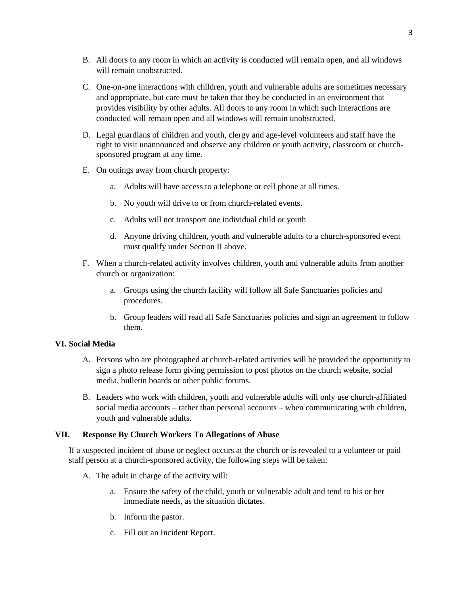- B. All doors to any room in which an activity is conducted will remain open, and all windows will remain unobstructed.
- C. One-on-one interactions with children, youth and vulnerable adults are sometimes necessary and appropriate, but care must be taken that they be conducted in an environment that provides visibility by other adults. All doors to any room in which such interactions are conducted will remain open and all windows will remain unobstructed.
- D. Legal guardians of children and youth, clergy and age-level volunteers and staff have the right to visit unannounced and observe any children or youth activity, classroom or churchsponsored program at any time.
- E. On outings away from church property:
	- a. Adults will have access to a telephone or cell phone at all times.
	- b. No youth will drive to or from church-related events.
	- c. Adults will not transport one individual child or youth
	- d. Anyone driving children, youth and vulnerable adults to a church-sponsored event must qualify under Section II above.
- F. When a church-related activity involves children, youth and vulnerable adults from another church or organization:
	- a. Groups using the church facility will follow all Safe Sanctuaries policies and procedures.
	- b. Group leaders will read all Safe Sanctuaries policies and sign an agreement to follow them.

# **VI. Social Media**

- A. Persons who are photographed at church-related activities will be provided the opportunity to sign a photo release form giving permission to post photos on the church website, social media, bulletin boards or other public forums.
- B. Leaders who work with children, youth and vulnerable adults will only use church-affiliated social media accounts – rather than personal accounts – when communicating with children, youth and vulnerable adults.

# **VII. Response By Church Workers To Allegations of Abuse**

If a suspected incident of abuse or neglect occurs at the church or is revealed to a volunteer or paid staff person at a church-sponsored activity, the following steps will be taken:

- A. The adult in charge of the activity will:
	- a. Ensure the safety of the child, youth or vulnerable adult and tend to his or her immediate needs, as the situation dictates.
	- b. Inform the pastor.
	- c. Fill out an Incident Report.